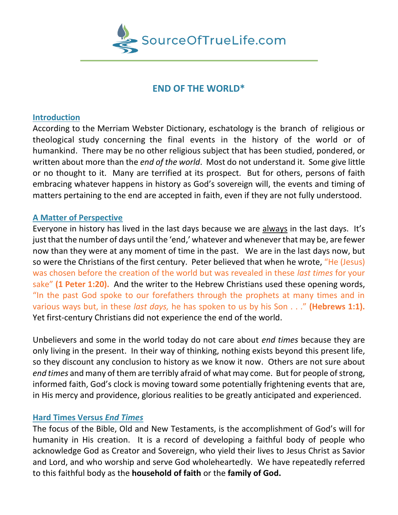

# **END OF THE WORLD\***

#### **Introduction**

According to the Merriam Webster Dictionary, eschatology is the branch of religious or theological study concerning the final events in the history of the world or of humankind. There may be no other religious subject that has been studied, pondered, or written about more than the *end of the world*. Most do not understand it. Some give little or no thought to it. Many are terrified at its prospect. But for others, persons of faith embracing whatever happens in history as God's sovereign will, the events and timing of matters pertaining to the end are accepted in faith, even if they are not fully understood.

## **A Matter of Perspective**

Everyone in history has lived in the last days because we are always in the last days. It's just that the number of days until the 'end,' whatever and whenever that may be, are fewer now than they were at any moment of time in the past. We are in the last days now, but so were the Christians of the first century. Peter believed that when he wrote, "He (Jesus) was chosen before the creation of the world but was revealed in these *last times* for your sake" **(1 Peter 1:20).** And the writer to the Hebrew Christians used these opening words, "In the past God spoke to our forefathers through the prophets at many times and in various ways but, in these *last days,* he has spoken to us by his Son . . ." **(Hebrews 1:1).**  Yet first-century Christians did not experience the end of the world.

Unbelievers and some in the world today do not care about *end times* because they are only living in the present. In their way of thinking, nothing exists beyond this present life, so they discount any conclusion to history as we know it now. Others are not sure about *end times* and many of them are terribly afraid of what may come. But for people of strong, informed faith, God's clock is moving toward some potentially frightening events that are, in His mercy and providence, glorious realities to be greatly anticipated and experienced.

#### **Hard Times Versus** *End Times*

The focus of the Bible, Old and New Testaments, is the accomplishment of God's will for humanity in His creation. It is a record of developing a faithful body of people who acknowledge God as Creator and Sovereign, who yield their lives to Jesus Christ as Savior and Lord, and who worship and serve God wholeheartedly. We have repeatedly referred to this faithful body as the **household of faith** or the **family of God.**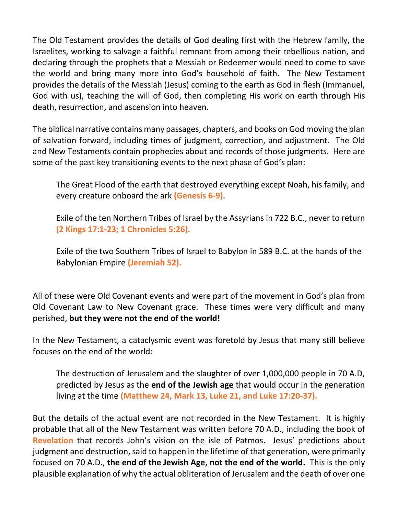The Old Testament provides the details of God dealing first with the Hebrew family, the Israelites, working to salvage a faithful remnant from among their rebellious nation, and declaring through the prophets that a Messiah or Redeemer would need to come to save the world and bring many more into God's household of faith. The New Testament provides the details of the Messiah (Jesus) coming to the earth as God in flesh (Immanuel, God with us), teaching the will of God, then completing His work on earth through His death, resurrection, and ascension into heaven.

The biblical narrative contains many passages, chapters, and books on God moving the plan of salvation forward, including times of judgment, correction, and adjustment. The Old and New Testaments contain prophecies about and records of those judgments. Here are some of the past key transitioning events to the next phase of God's plan:

The Great Flood of the earth that destroyed everything except Noah, his family, and every creature onboard the ark **(Genesis 6-9).**

Exile of the ten Northern Tribes of Israel by the Assyrians in 722 B.C., never to return **(2 Kings 17:1-23; 1 Chronicles 5:26).**

Exile of the two Southern Tribes of Israel to Babylon in 589 B.C. at the hands of the Babylonian Empire **(Jeremiah 52).**

All of these were Old Covenant events and were part of the movement in God's plan from Old Covenant Law to New Covenant grace. These times were very difficult and many perished, **but they were not the end of the world!**

In the New Testament, a cataclysmic event was foretold by Jesus that many still believe focuses on the end of the world:

The destruction of Jerusalem and the slaughter of over 1,000,000 people in 70 A.D, predicted by Jesus as the **end of the Jewish age** that would occur in the generation living at the time **(Matthew 24, Mark 13, Luke 21, and Luke 17:20-37).** 

But the details of the actual event are not recorded in the New Testament. It is highly probable that all of the New Testament was written before 70 A.D., including the book of **Revelation** that records John's vision on the isle of Patmos. Jesus' predictions about judgment and destruction, said to happen in the lifetime of that generation, were primarily focused on 70 A.D., **the end of the Jewish Age, not the end of the world.** This is the only plausible explanation of why the actual obliteration of Jerusalem and the death of over one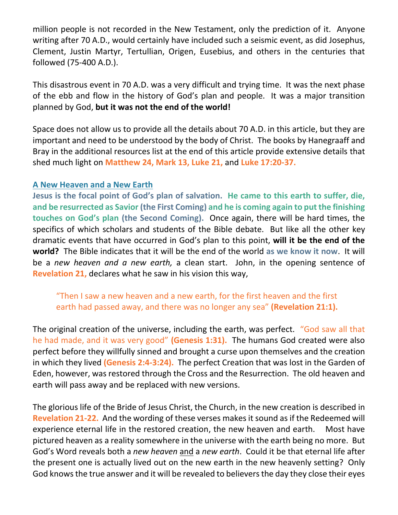million people is not recorded in the New Testament, only the prediction of it. Anyone writing after 70 A.D., would certainly have included such a seismic event, as did Josephus, Clement, Justin Martyr, Tertullian, Origen, Eusebius, and others in the centuries that followed (75-400 A.D.).

This disastrous event in 70 A.D. was a very difficult and trying time. It was the next phase of the ebb and flow in the history of God's plan and people. It was a major transition planned by God, **but it was not the end of the world!**

Space does not allow us to provide all the details about 70 A.D. in this article, but they are important and need to be understood by the body of Christ. The books by Hanegraaff and Bray in the additional resources list at the end of this article provide extensive details that shed much light on **Matthew 24, Mark 13, Luke 21,** and **Luke 17:20-37.** 

## **A New Heaven and a New Earth**

**Jesus is the focal point of God's plan of salvation. He came to this earth to suffer, die, and be resurrected as Savior (the First Coming) and he is coming again to put the finishing touches on God's plan (the Second Coming).** Once again, there will be hard times, the specifics of which scholars and students of the Bible debate. But like all the other key dramatic events that have occurred in God's plan to this point, **will it be the end of the world?** The Bible indicates that it will be the end of the world **as we know it now**. It will be a *new heaven and a new earth,* a clean start. John, in the opening sentence of **Revelation 21,** declares what he saw in his vision this way,

"Then I saw a new heaven and a new earth, for the first heaven and the first earth had passed away, and there was no longer any sea" **(Revelation 21:1).** 

The original creation of the universe, including the earth, was perfect. "God saw all that he had made, and it was very good" **(Genesis 1:31).** The humans God created were also perfect before they willfully sinned and brought a curse upon themselves and the creation in which they lived **(Genesis 2:4-3:24).** The perfect Creation that was lost in the Garden of Eden, however, was restored through the Cross and the Resurrection. The old heaven and earth will pass away and be replaced with new versions.

The glorious life of the Bride of Jesus Christ, the Church, in the new creation is described in **Revelation 21-22.** And the wording of these verses makes it sound as if the Redeemed will experience eternal life in the restored creation, the new heaven and earth. Most have pictured heaven as a reality somewhere in the universe with the earth being no more. But God's Word reveals both a *new heaven* and a *new earth*. Could it be that eternal life after the present one is actually lived out on the new earth in the new heavenly setting? Only God knows the true answer and it will be revealed to believers the day they close their eyes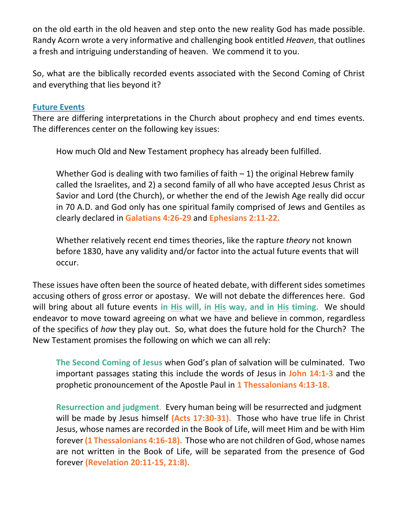on the old earth in the old heaven and step onto the new reality God has made possible. Randy Acorn wrote a very informative and challenging book entitled *Heaven*, that outlines a fresh and intriguing understanding of heaven. We commend it to you.

So, what are the biblically recorded events associated with the Second Coming of Christ and everything that lies beyond it?

### **Future Events**

There are differing interpretations in the Church about prophecy and end times events. The differences center on the following key issues:

How much Old and New Testament prophecy has already been fulfilled.

Whether God is dealing with two families of faith  $-1$ ) the original Hebrew family called the Israelites, and 2) a second family of all who have accepted Jesus Christ as Savior and Lord (the Church), or whether the end of the Jewish Age really did occur in 70 A.D. and God only has one spiritual family comprised of Jews and Gentiles as clearly declared in **Galatians 4:26-29** and **Ephesians 2:11-22.**

Whether relatively recent end times theories, like the rapture *theory* not known before 1830, have any validity and/or factor into the actual future events that will occur.

These issues have often been the source of heated debate, with different sides sometimes accusing others of gross error or apostasy. We will not debate the differences here. God will bring about all future events **in His will, in His way, and in His timing.** We should endeavor to move toward agreeing on what we have and believe in common, regardless of the specifics of *how* they play out. So, what does the future hold for the Church? The New Testament promises the following on which we can all rely:

**The Second Coming of Jesus** when God's plan of salvation will be culminated. Two important passages stating this include the words of Jesus in **John 14:1-3** and the prophetic pronouncement of the Apostle Paul in **1 Thessalonians 4:13-18.**

**Resurrection and judgment**. Every human being will be resurrected and judgment will be made by Jesus himself **(Acts 17:30-31).** Those who have true life in Christ Jesus, whose names are recorded in the Book of Life, will meet Him and be with Him forever **(1 Thessalonians 4:16-18).** Those who are not children of God, whose names are not written in the Book of Life, will be separated from the presence of God forever **(Revelation 20:11-15, 21:8).**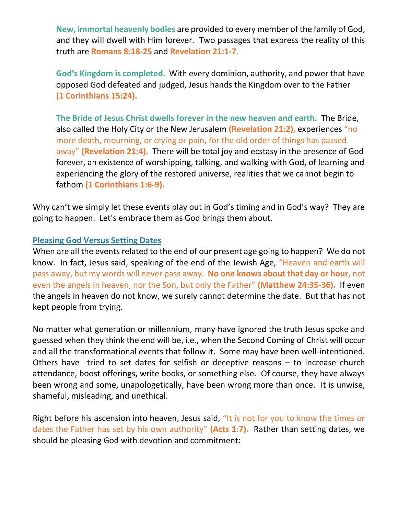**New, immortal heavenly bodies** are provided to every member of the family of God, and they will dwell with Him forever. Two passages that express the reality of this truth are **Romans 8:18-25** and **Revelation 21:1-7.**

**God's Kingdom is completed.** With every dominion, authority, and power that have opposed God defeated and judged, Jesus hands the Kingdom over to the Father **(1 Corinthians 15:24).** 

**The Bride of Jesus Christ dwells forever in the new heaven and earth.** The Bride, also called the Holy City or the New Jerusalem **(Revelation 21:2),** experiences "no more death, mourning, or crying or pain, for the old order of things has passed away" **(Revelation 21:4).** There will be total joy and ecstasy in the presence of God forever, an existence of worshipping, talking, and walking with God, of learning and experiencing the glory of the restored universe, realities that we cannot begin to fathom **(1 Corinthians 1:6-9).**

Why can't we simply let these events play out in God's timing and in God's way? They are going to happen. Let's embrace them as God brings them about.

#### **Pleasing God Versus Setting Dates**

When are all the events related to the end of our present age going to happen? We do not know. In fact, Jesus said, speaking of the end of the Jewish Age, "Heaven and earth will pass away, but my words will never pass away. **No one knows about that day or hour,** not even the angels in heaven, nor the Son, but only the Father" **(Matthew 24:35-36).** If even the angels in heaven do not know, we surely cannot determine the date. But that has not kept people from trying.

No matter what generation or millennium, many have ignored the truth Jesus spoke and guessed when they think the end will be, i.e., when the Second Coming of Christ will occur and all the transformational events that follow it. Some may have been well-intentioned. Others have tried to set dates for selfish or deceptive reasons – to increase church attendance, boost offerings, write books, or something else. Of course, they have always been wrong and some, unapologetically, have been wrong more than once. It is unwise, shameful, misleading, and unethical.

Right before his ascension into heaven, Jesus said, "It is not for you to know the times or dates the Father has set by his own authority" **(Acts 1:7).** Rather than setting dates, we should be pleasing God with devotion and commitment: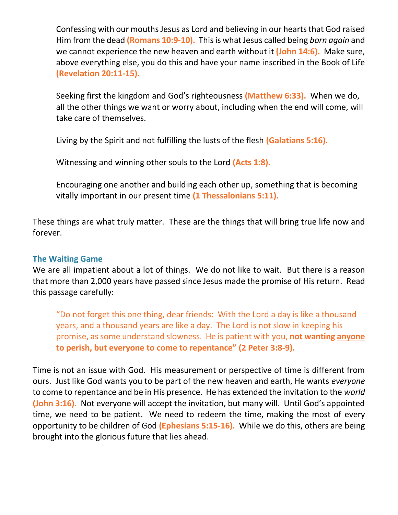Confessing with our mouths Jesus as Lord and believing in our hearts that God raised Him from the dead **(Romans 10:9-10).** This is what Jesus called being *born again* and we cannot experience the new heaven and earth without it **(John 14:6).** Make sure, above everything else, you do this and have your name inscribed in the Book of Life **(Revelation 20:11-15).**

Seeking first the kingdom and God's righteousness **(Matthew 6:33).** When we do, all the other things we want or worry about, including when the end will come, will take care of themselves.

Living by the Spirit and not fulfilling the lusts of the flesh **(Galatians 5:16).**

Witnessing and winning other souls to the Lord **(Acts 1:8).**

Encouraging one another and building each other up, something that is becoming vitally important in our present time **(1 Thessalonians 5:11).**

These things are what truly matter. These are the things that will bring true life now and forever.

## **The Waiting Game**

We are all impatient about a lot of things. We do not like to wait. But there is a reason that more than 2,000 years have passed since Jesus made the promise of His return. Read this passage carefully:

"Do not forget this one thing, dear friends: With the Lord a day is like a thousand years, and a thousand years are like a day. The Lord is not slow in keeping his promise, as some understand slowness. He is patient with you, **not wanting anyone to perish, but everyone to come to repentance" (2 Peter 3:8-9).**

Time is not an issue with God. His measurement or perspective of time is different from ours. Just like God wants you to be part of the new heaven and earth, He wants *everyone*  to come to repentance and be in His presence. He has extended the invitation to the *world* **(John 3:16).** Not everyone will accept the invitation, but many will. Until God's appointed time, we need to be patient. We need to redeem the time, making the most of every opportunity to be children of God **(Ephesians 5:15-16).** While we do this, others are being brought into the glorious future that lies ahead.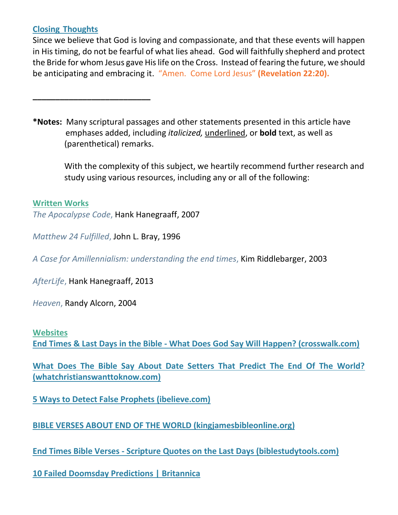## **Closing Thoughts**

Since we believe that God is loving and compassionate, and that these events will happen in His timing, do not be fearful of what lies ahead. God will faithfully shepherd and protect the Bride for whom Jesus gave His life on the Cross. Instead of fearing the future, we should be anticipating and embracing it. "Amen. Come Lord Jesus" **(Revelation 22:20).**

**\*Notes:** Many scriptural passages and other statements presented in this article have emphases added, including *italicized,* underlined, or **bold** text, as well as (parenthetical) remarks.

 With the complexity of this subject, we heartily recommend further research and study using various resources, including any or all of the following:

## **Written Works**

*The Apocalypse Code*, Hank Hanegraaff, 2007

*Matthew 24 Fulfilled*, John L. Bray, 1996

*A Case for Amillennialism: understanding the end times*, Kim Riddlebarger, 2003

*AfterLife*, Hank Hanegraaff, 2013

**\_\_\_\_\_\_\_\_\_\_\_\_\_\_\_\_\_\_\_\_\_\_\_\_\_\_**

*Heaven*, Randy Alcorn, 2004

#### **Websites**

**End Times & Last Days in the Bible - [What Does God Say Will Happen? \(crosswalk.com\)](https://www.crosswalk.com/faith/bible-study/what-does-the-bible-say-about-end-times.html)**

**[What Does The Bible Say About Date Setters That Predict The End Of The World?](https://www.whatchristianswanttoknow.com/what-does-the-bible-say-about-date-setters-that-predict-the-end-of-the-world/)  [\(whatchristianswanttoknow.com\)](https://www.whatchristianswanttoknow.com/what-does-the-bible-say-about-date-setters-that-predict-the-end-of-the-world/)**

**[5 Ways to Detect False Prophets \(ibelieve.com\)](https://www.ibelieve.com/faith/5-ways-to-detect-a-modern-false-prophet.html)**

**[BIBLE VERSES ABOUT END OF THE WORLD \(kingjamesbibleonline.org\)](https://www.kingjamesbibleonline.org/Bible-Verses-About-End-Of-The-World/)**

**End Times Bible Verses - [Scripture Quotes on the Last Days \(biblestudytools.com\)](https://www.biblestudytools.com/topical-verses/end-times-bible-verses/)**

**[10 Failed Doomsday Predictions | Britannica](https://www.britannica.com/list/10-failed-doomsday-predictions)**